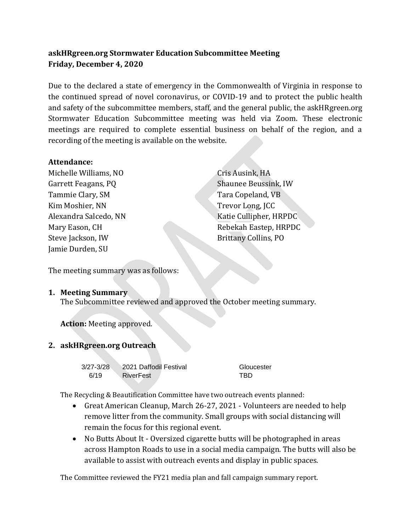# **askHRgreen.org Stormwater Education Subcommittee Meeting Friday, December 4, 2020**

Due to the declared a state of emergency in the Commonwealth of Virginia in response to the continued spread of novel coronavirus, or COVID-19 and to protect the public health and safety of the subcommittee members, staff, and the general public, the askHRgreen.org Stormwater Education Subcommittee meeting was held via Zoom. These electronic meetings are required to complete essential business on behalf of the region, and a recording of the meeting is available on the website.

#### **Attendance:**

Michelle Williams, NO Garrett Feagans, PQ Tammie Clary, SM Kim Moshier, NN Alexandra Salcedo, NN Mary Eason, CH Steve Jackson, IW Jamie Durden, SU

Cris Ausink, HA Shaunee Beussink, IW Tara Copeland, VB Trevor Long, JCC Katie Cullipher, HRPDC Rebekah Eastep, HRPDC Brittany Collins, PO

The meeting summary was as follows:

#### **1. Meeting Summary**

The Subcommittee reviewed and approved the October meeting summary.

**Action:** Meeting approved.

#### **2. askHRgreen.org Outreach**

3/27-3/28 2021 Daffodil Festival Gloucester 6/19 RiverFest TBD

The Recycling & Beautification Committee have two outreach events planned:

- Great American Cleanup, March 26-27, 2021 Volunteers are needed to help remove litter from the community. Small groups with social distancing will remain the focus for this regional event.
- No Butts About It Oversized cigarette butts will be photographed in areas across Hampton Roads to use in a social media campaign. The butts will also be available to assist with outreach events and display in public spaces.

The Committee reviewed the FY21 media plan and fall campaign summary report.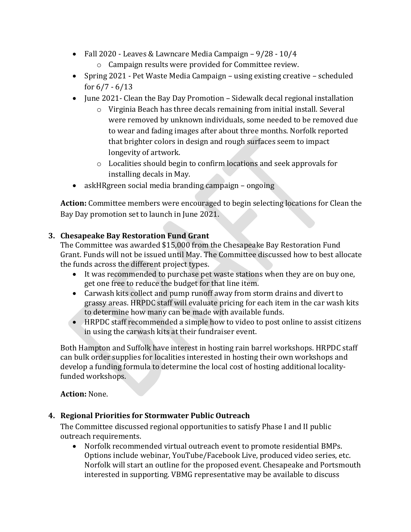- Fall 2020 Leaves & Lawncare Media Campaign 9/28 10/4 o Campaign results were provided for Committee review.
- Spring 2021 Pet Waste Media Campaign using existing creative scheduled for  $6/7 - 6/13$
- June 2021- Clean the Bay Day Promotion Sidewalk decal regional installation
	- o Virginia Beach has three decals remaining from initial install. Several were removed by unknown individuals, some needed to be removed due to wear and fading images after about three months. Norfolk reported that brighter colors in design and rough surfaces seem to impact longevity of artwork.
	- o Localities should begin to confirm locations and seek approvals for installing decals in May.
- askHRgreen social media branding campaign ongoing

**Action:** Committee members were encouraged to begin selecting locations for Clean the Bay Day promotion set to launch in June 2021.

## **3. Chesapeake Bay Restoration Fund Grant**

The Committee was awarded \$15,000 from the Chesapeake Bay Restoration Fund Grant. Funds will not be issued until May. The Committee discussed how to best allocate the funds across the different project types.

- It was recommended to purchase pet waste stations when they are on buy one, get one free to reduce the budget for that line item.
- Carwash kits collect and pump runoff away from storm drains and divert to grassy areas. HRPDC staff will evaluate pricing for each item in the car wash kits to determine how many can be made with available funds.
- HRPDC staff recommended a simple how to video to post online to assist citizens in using the carwash kits at their fundraiser event.

Both Hampton and Suffolk have interest in hosting rain barrel workshops. HRPDC staff can bulk order supplies for localities interested in hosting their own workshops and develop a funding formula to determine the local cost of hosting additional localityfunded workshops.

**Action:** None.

## **4. Regional Priorities for Stormwater Public Outreach**

The Committee discussed regional opportunities to satisfy Phase I and II public outreach requirements.

• Norfolk recommended virtual outreach event to promote residential BMPs. Options include webinar, YouTube/Facebook Live, produced video series, etc. Norfolk will start an outline for the proposed event. Chesapeake and Portsmouth interested in supporting. VBMG representative may be available to discuss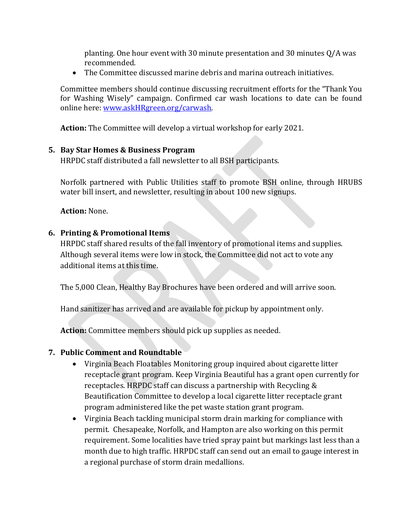planting. One hour event with 30 minute presentation and 30 minutes Q/A was recommended.

• The Committee discussed marine debris and marina outreach initiatives.

Committee members should continue discussing recruitment efforts for the "Thank You for Washing Wisely" campaign. Confirmed car wash locations to date can be found online here: [www.askHRgreen.org/carwash.](http://www.askhrgreen.org/carwash)

**Action:** The Committee will develop a virtual workshop for early 2021.

#### **5. Bay Star Homes & Business Program**

HRPDC staff distributed a fall newsletter to all BSH participants.

Norfolk partnered with Public Utilities staff to promote BSH online, through HRUBS water bill insert, and newsletter, resulting in about 100 new signups.

**Action:** None.

### **6. Printing & Promotional Items**

HRPDC staff shared results of the fall inventory of promotional items and supplies. Although several items were low in stock, the Committee did not act to vote any additional items at this time.

The 5,000 Clean, Healthy Bay Brochures have been ordered and will arrive soon.

Hand sanitizer has arrived and are available for pickup by appointment only.

**Action:** Committee members should pick up supplies as needed.

### **7. Public Comment and Roundtable**

- Virginia Beach Floatables Monitoring group inquired about cigarette litter receptacle grant program. Keep Virginia Beautiful has a grant open currently for receptacles. HRPDC staff can discuss a partnership with Recycling & Beautification Committee to develop a local cigarette litter receptacle grant program administered like the pet waste station grant program.
- Virginia Beach tackling municipal storm drain marking for compliance with permit. Chesapeake, Norfolk, and Hampton are also working on this permit requirement. Some localities have tried spray paint but markings last less than a month due to high traffic. HRPDC staff can send out an email to gauge interest in a regional purchase of storm drain medallions.